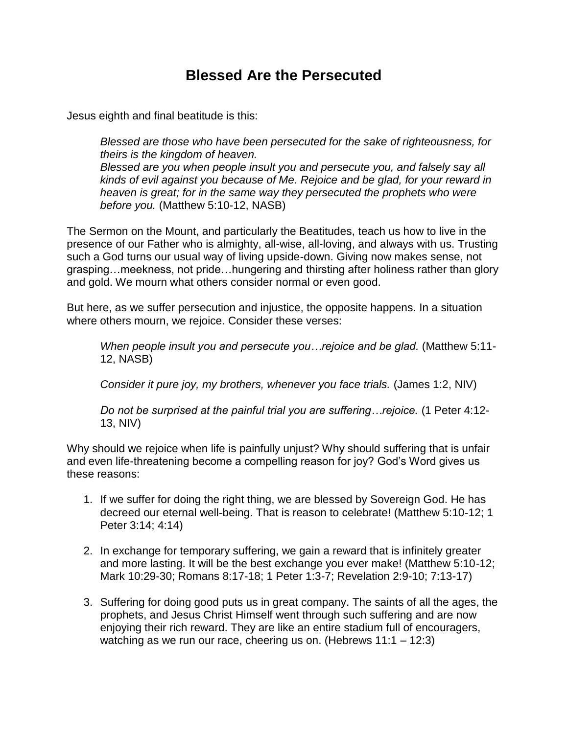## **Blessed Are the Persecuted**

Jesus eighth and final beatitude is this:

*Blessed are those who have been persecuted for the sake of righteousness, for theirs is the kingdom of heaven. Blessed are you when people insult you and persecute you, and falsely say all kinds of evil against you because of Me. Rejoice and be glad, for your reward in heaven is great; for in the same way they persecuted the prophets who were before you.* (Matthew 5:10-12, NASB)

The Sermon on the Mount, and particularly the Beatitudes, teach us how to live in the presence of our Father who is almighty, all-wise, all-loving, and always with us. Trusting such a God turns our usual way of living upside-down. Giving now makes sense, not grasping…meekness, not pride…hungering and thirsting after holiness rather than glory and gold. We mourn what others consider normal or even good.

But here, as we suffer persecution and injustice, the opposite happens. In a situation where others mourn, we rejoice. Consider these verses:

*When people insult you and persecute you…rejoice and be glad.* (Matthew 5:11- 12, NASB)

*Consider it pure joy, my brothers, whenever you face trials.* (James 1:2, NIV)

*Do not be surprised at the painful trial you are suffering…rejoice.* (1 Peter 4:12- 13, NIV)

Why should we rejoice when life is painfully unjust? Why should suffering that is unfair and even life-threatening become a compelling reason for joy? God's Word gives us these reasons:

- 1. If we suffer for doing the right thing, we are blessed by Sovereign God. He has decreed our eternal well-being. That is reason to celebrate! (Matthew 5:10-12; 1 Peter 3:14; 4:14)
- 2. In exchange for temporary suffering, we gain a reward that is infinitely greater and more lasting. It will be the best exchange you ever make! (Matthew 5:10-12; Mark 10:29-30; Romans 8:17-18; 1 Peter 1:3-7; Revelation 2:9-10; 7:13-17)
- 3. Suffering for doing good puts us in great company. The saints of all the ages, the prophets, and Jesus Christ Himself went through such suffering and are now enjoying their rich reward. They are like an entire stadium full of encouragers, watching as we run our race, cheering us on. (Hebrews 11:1 – 12:3)